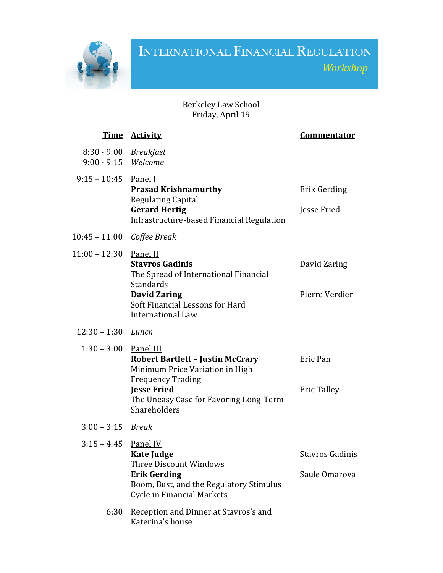

## INTERNATIONAL FINANCIAL REGULATION Workshop

## Berkeley Law School Friday, April 19

|                                              | <u>Time Activity</u>                                                                                                                                                   | <u>Commentator</u>                      |
|----------------------------------------------|------------------------------------------------------------------------------------------------------------------------------------------------------------------------|-----------------------------------------|
| 8:30 - 9:00 Breakfast<br>9:00 - 9:15 Welcome |                                                                                                                                                                        |                                         |
| $9:15 - 10:45$ Panel I                       | <b>Prasad Krishnamurthy</b><br><b>Regulating Capital</b><br><b>Gerard Hertig</b><br>Infrastructure-based Financial Regulation                                          | Erik Gerding<br>Jesse Fried             |
| 10:45 - 11:00 Coffee Break                   |                                                                                                                                                                        |                                         |
| 11:00 - 12:30 Panel II                       | <b>Stavros Gadinis</b><br>The Spread of International Financial<br>Standards                                                                                           | David Zaring                            |
|                                              | <b>David Zaring</b><br>Soft Financial Lessons for Hard<br><b>International Law</b>                                                                                     | Pierre Verdier                          |
| $12:30 - 1:30$ Lunch                         |                                                                                                                                                                        |                                         |
| $1:30 - 3:00$ Panel III                      | <b>Robert Bartlett - Justin McCrary</b><br>Minimum Price Variation in High<br><b>Frequency Trading</b><br><b>Jesse Fried</b><br>The Uneasy Case for Favoring Long-Term | Eric Pan<br><b>Eric Talley</b>          |
| $3:00 - 3:15$ Break                          | Shareholders                                                                                                                                                           |                                         |
| $3:15 - 4:45$ Panel IV                       |                                                                                                                                                                        |                                         |
|                                              | <b>Kate Judge</b><br><b>Three Discount Windows</b><br><b>Erik Gerding</b><br>Boom, Bust, and the Regulatory Stimulus<br><b>Cycle in Financial Markets</b>              | <b>Stavros Gadinis</b><br>Saule Omarova |
| 6:30                                         | Reception and Dinner at Stavros's and<br>Katerina's house                                                                                                              |                                         |